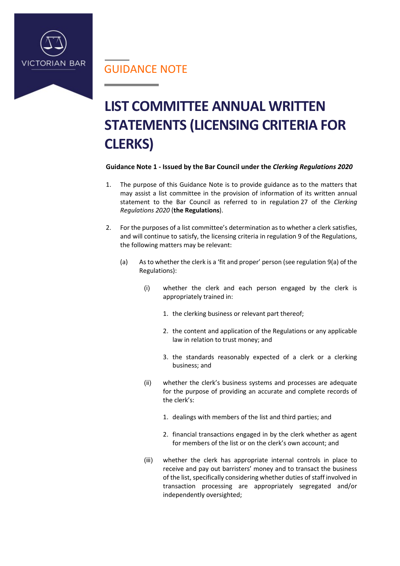**VICTORIAN BAR** 

GUIDANCE NOTE

## **LIST COMMITTEE ANNUAL WRITTEN STATEMENTS (LICENSING CRITERIA FOR CLERKS)**

## **Guidance Note 1 - Issued by the Bar Council under the** *Clerking Regulations 2020*

- 1. The purpose of this Guidance Note is to provide guidance as to the matters that may assist a list committee in the provision of information of its written annual statement to the Bar Council as referred to in regulation 27 of the *Clerking Regulations 2020* (**the Regulations**).
- 2. For the purposes of a list committee's determination as to whether a clerk satisfies, and will continue to satisfy, the licensing criteria in regulation 9 of the Regulations, the following matters may be relevant:
	- (a) As to whether the clerk is a 'fit and proper' person (see regulation 9(a) of the Regulations):
		- (i) whether the clerk and each person engaged by the clerk is appropriately trained in:
			- 1. the clerking business or relevant part thereof;
			- 2. the content and application of the Regulations or any applicable law in relation to trust money; and
			- 3. the standards reasonably expected of a clerk or a clerking business; and
		- (ii) whether the clerk's business systems and processes are adequate for the purpose of providing an accurate and complete records of the clerk's:
			- 1. dealings with members of the list and third parties; and
			- 2. financial transactions engaged in by the clerk whether as agent for members of the list or on the clerk's own account; and
		- (iii) whether the clerk has appropriate internal controls in place to receive and pay out barristers' money and to transact the business of the list, specifically considering whether duties of staff involved in transaction processing are appropriately segregated and/or independently oversighted;